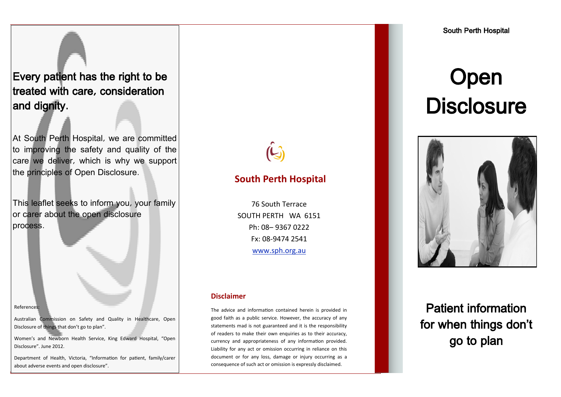## Every patient has the right to be treated with care, consideration and dignity.

At South Perth Hospital, we are committed to improving the safety and quality of the care we deliver, which is why we support the principles of Open Disclosure.

This leaflet seeks to inform you, your family or carer about the open disclosure process.

#### References:

Australian Commission on Safety and Quality in Healthcare, Open Disclosure of things that don't go to plan".

Women's and Newborn Health Service, King Edward Hospital, "Open Disclosure". June 2012.

Department of Health, Victoria, "Information for patient, family/carer about adverse events and open disclosure".

### **South Perth Hospital**

76 South Terrace SOUTH PERTH WA 6151 Ph: 08– 9367 0222 Fx: 08-9474 2541 www.sph.org.au

#### **Disclaimer**

The advice and information contained herein is provided in good faith as a public service. However, the accuracy of any statements mad is not guaranteed and it is the responsibility of readers to make their own enquiries as to their accuracy, currency and appropriateness of any information provided. Liability for any act or omission occurring in reliance on this document or for any loss, damage or injury occurring as a consequence of such act or omission is expressly disclaimed.

# Open **Disclosure**



Patient information for when things don't go to plan